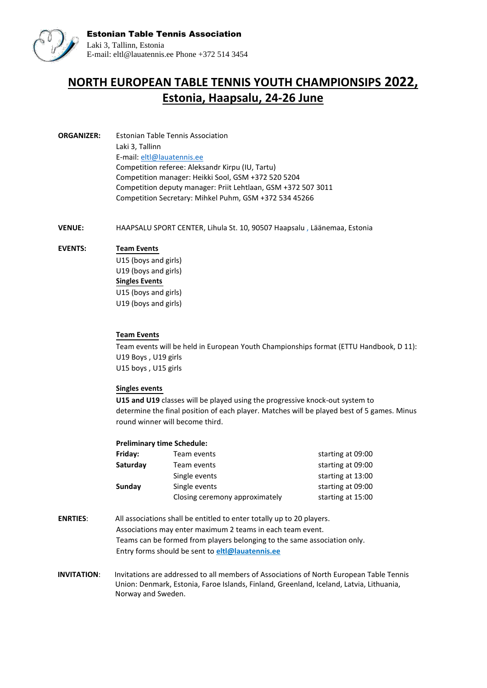

## **NORTH EUROPEAN TABLE TENNIS YOUTH CHAMPIONSIPS 2022, Estonia, Haapsalu, 24-26 June**

**ORGANIZER:** Estonian Table Tennis Association Laki 3, Tallinn E-mail: [eltl@lauatennis.ee](mailto:eltl@lauatennis.ee) Competition referee: Aleksandr Kirpu (IU, Tartu) Competition manager: Heikki Sool, GSM +372 520 5204 Competition deputy manager: Priit Lehtlaan, GSM +372 507 3011 Competition Secretary: Mihkel Puhm, GSM +372 534 45266

**VENUE:** HAAPSALU SPORT CENTER, Lihula St. 10, 90507 Haapsalu , Läänemaa, Estonia

## **EVENTS: Team Events**

U15 (boys and girls) U19 (boys and girls) **Singles Events** U15 (boys and girls) U19 (boys and girls)

## **Team Events**

Team events will be held in European Youth Championships format (ETTU Handbook, D 11): U19 Boys , U19 girls U15 boys , U15 girls

## **Singles events**

**U15 and U19** classes will be played using the progressive knock-out system to determine the final position of each player. Matches will be played best of 5 games. Minus round winner will become third.

| <b>Preliminary time Schedule:</b> |                                |                   |
|-----------------------------------|--------------------------------|-------------------|
| Friday:                           | Team events                    | starting at 09:00 |
| Saturday                          | Team events                    | starting at 09:00 |
|                                   | Single events                  | starting at 13:00 |
| Sunday                            | Single events                  | starting at 09:00 |
|                                   | Closing ceremony approximately | starting at 15:00 |

- **ENRTIES**: All associations shall be entitled to enter totally up to 20 players. Associations may enter maximum 2 teams in each team event. Teams can be formed from players belonging to the same association only. Entry forms should be sent to **eltl@lauatennis.ee**
- **INVITATION**: Invitations are addressed to all members of Associations of North European Table Tennis Union: Denmark, Estonia, Faroe Islands, Finland, Greenland, Iceland, Latvia, Lithuania, Norway and Sweden.